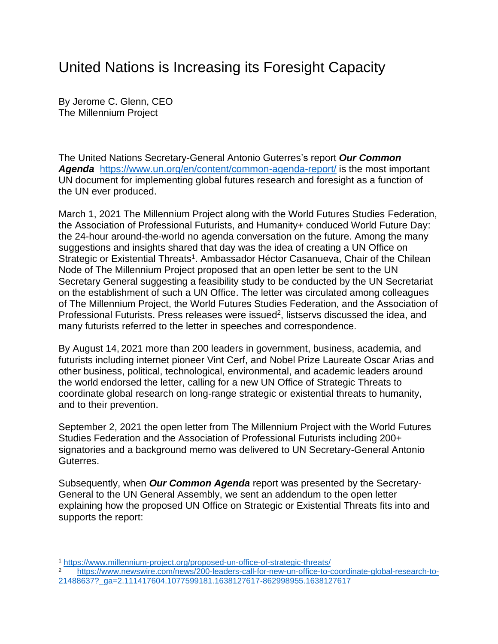## United Nations is Increasing its Foresight Capacity

By Jerome C. Glenn, CEO The Millennium Project

The United Nations Secretary-General Antonio Guterres's report *Our Common Agenda* <https://www.un.org/en/content/common-agenda-report/> is the most important UN document for implementing global futures research and foresight as a function of the UN ever produced.

March 1, 2021 The Millennium Project along with the World Futures Studies Federation, the Association of Professional Futurists, and Humanity+ conduced World Future Day: the 24-hour around-the-world no agenda conversation on the future. Among the many suggestions and insights shared that day was the idea of creating a UN Office on Strategic or Existential Threats<sup>1</sup>. Ambassador Héctor Casanueva, Chair of the Chilean Node of The Millennium Project proposed that an open letter be sent to the UN Secretary General suggesting a feasibility study to be conducted by the UN Secretariat on the establishment of such a UN Office. The letter was circulated among colleagues of The Millennium Project, the World Futures Studies Federation, and the Association of Professional Futurists. Press releases were issued<sup>2</sup>, listservs discussed the idea, and many futurists referred to the letter in speeches and correspondence.

By August 14, 2021 more than 200 leaders in government, business, academia, and futurists including internet pioneer Vint Cerf, and Nobel Prize Laureate Oscar Arias and other business, political, technological, environmental, and academic leaders around the world endorsed the letter, calling for a new UN Office of Strategic Threats to coordinate global research on long-range strategic or existential threats to humanity, and to their prevention.

September 2, 2021 the open letter from The Millennium Project with the World Futures Studies Federation and the Association of Professional Futurists including 200+ signatories and a background memo was delivered to UN Secretary-General Antonio Guterres.

Subsequently, when *Our Common Agenda* report was presented by the Secretary-General to the UN General Assembly, we sent an addendum to the open letter explaining how the proposed UN Office on Strategic or Existential Threats fits into and supports the report:

<sup>1</sup> <https://www.millennium-project.org/proposed-un-office-of-strategic-threats/>

<sup>2</sup> [https://www.newswire.com/news/200-leaders-call-for-new-un-office-to-coordinate-global-research-to-](https://www.newswire.com/news/200-leaders-call-for-new-un-office-to-coordinate-global-research-to-21488637?_ga=2.111417604.1077599181.1638127617-862998955.1638127617)[21488637?\\_ga=2.111417604.1077599181.1638127617-862998955.1638127617](https://www.newswire.com/news/200-leaders-call-for-new-un-office-to-coordinate-global-research-to-21488637?_ga=2.111417604.1077599181.1638127617-862998955.1638127617)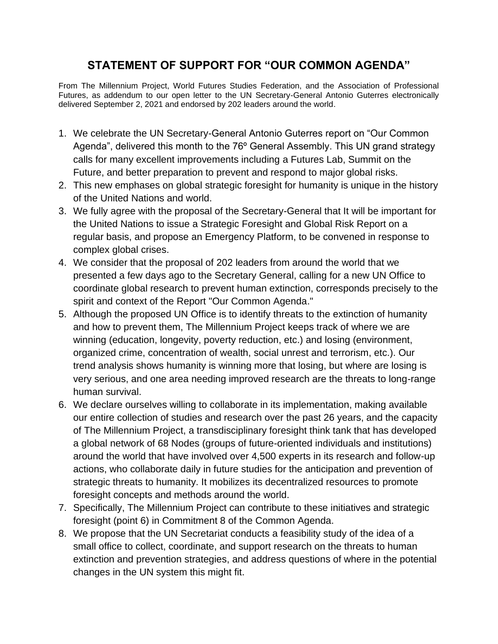### **STATEMENT OF SUPPORT FOR "OUR COMMON AGENDA"**

From The Millennium Project, World Futures Studies Federation, and the Association of Professional Futures, as addendum to our open letter to the UN Secretary-General Antonio Guterres electronically delivered September 2, 2021 and endorsed by 202 leaders around the world.

- 1. We celebrate the UN Secretary-General Antonio Guterres report on "Our Common Agenda", delivered this month to the 76º General Assembly. This UN grand strategy calls for many excellent improvements including a Futures Lab, Summit on the Future, and better preparation to prevent and respond to major global risks.
- 2. This new emphases on global strategic foresight for humanity is unique in the history of the United Nations and world.
- 3. We fully agree with the proposal of the Secretary-General that It will be important for the United Nations to issue a Strategic Foresight and Global Risk Report on a regular basis, and propose an Emergency Platform, to be convened in response to complex global crises.
- 4. We consider that the proposal of 202 leaders from around the world that we presented a few days ago to the Secretary General, calling for a new UN Office to coordinate global research to prevent human extinction, corresponds precisely to the spirit and context of the Report "Our Common Agenda."
- 5. Although the proposed UN Office is to identify threats to the extinction of humanity and how to prevent them, The Millennium Project keeps track of where we are winning (education, longevity, poverty reduction, etc.) and losing (environment, organized crime, concentration of wealth, social unrest and terrorism, etc.). Our trend analysis shows humanity is winning more that losing, but where are losing is very serious, and one area needing improved research are the threats to long-range human survival.
- 6. We declare ourselves willing to collaborate in its implementation, making available our entire collection of studies and research over the past 26 years, and the capacity of The Millennium Project, a transdisciplinary foresight think tank that has developed a global network of 68 Nodes (groups of future-oriented individuals and institutions) around the world that have involved over 4,500 experts in its research and follow-up actions, who collaborate daily in future studies for the anticipation and prevention of strategic threats to humanity. It mobilizes its decentralized resources to promote foresight concepts and methods around the world.
- 7. Specifically, The Millennium Project can contribute to these initiatives and strategic foresight (point 6) in Commitment 8 of the Common Agenda.
- 8. We propose that the UN Secretariat conducts a feasibility study of the idea of a small office to collect, coordinate, and support research on the threats to human extinction and prevention strategies, and address questions of where in the potential changes in the UN system this might fit.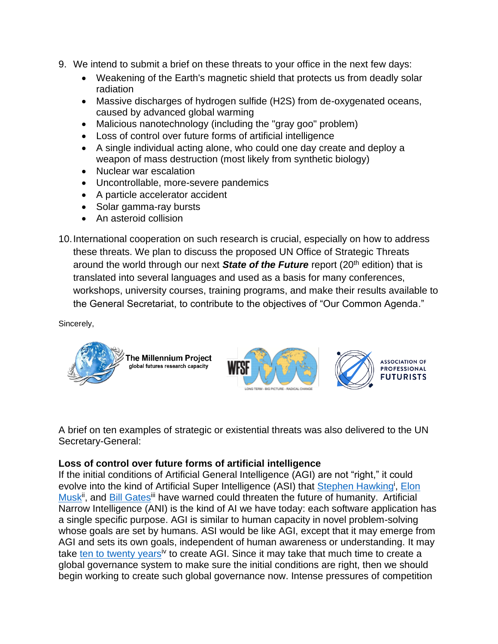- 9. We intend to submit a brief on these threats to your office in the next few days:
	- Weakening of the Earth's magnetic shield that protects us from deadly solar radiation
	- Massive discharges of hydrogen sulfide (H2S) from de-oxygenated oceans, caused by advanced global warming
	- Malicious nanotechnology (including the "gray goo" problem)
	- Loss of control over future forms of artificial intelligence
	- A single individual acting alone, who could one day create and deploy a weapon of mass destruction (most likely from synthetic biology)
	- Nuclear war escalation
	- Uncontrollable, more-severe pandemics
	- A particle accelerator accident
	- Solar gamma-ray bursts
	- An asteroid collision
- 10.International cooperation on such research is crucial, especially on how to address these threats. We plan to discuss the proposed UN Office of Strategic Threats around the world through our next **State of the Future** report (20<sup>th</sup> edition) that is translated into several languages and used as a basis for many conferences, workshops, university courses, training programs, and make their results available to the General Secretariat, to contribute to the objectives of "Our Common Agenda."

Sincerely,



A brief on ten examples of strategic or existential threats was also delivered to the UN Secretary-General:

#### **Loss of control over future forms of artificial intelligence**

If the initial conditions of Artificial General Intelligence (AGI) are not "right," it could evolve into the kind of Artificial Super Intelligence (ASI) that **Stephen Hawking**<sup>i</sup>, Elon [Musk](https://techcrunch.com/2020/02/18/elon-musk-says-all-advanced-ai-development-should-be-regulated-including-at-tesla/)<sup>ii</sup>, and [Bill Gates](https://www.bbc.com/news/31047780)<sup>iii</sup> have warned could threaten the future of humanity. Artificial Narrow Intelligence (ANI) is the kind of AI we have today: each software application has a single specific purpose. AGI is similar to human capacity in novel problem-solving whose goals are set by humans. ASI would be like AGI, except that it may emerge from AGI and sets its own goals, independent of human awareness or understanding. It may take [ten to twenty years](https://www.technologyreview.com/2020/10/15/1010461/artificial-general-intelligence-robots-ai-agi-deepmind-google-openai/)<sup>iv</sup> to create AGI. Since it may take that much time to create a global governance system to make sure the initial conditions are right, then we should begin working to create such global governance now. Intense pressures of competition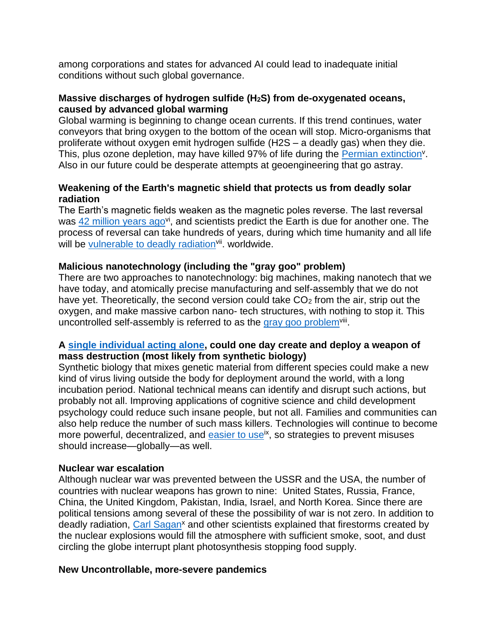among corporations and states for advanced AI could lead to inadequate initial conditions without such global governance.

#### **Massive discharges of hydrogen sulfide (H2S) from de-oxygenated oceans, caused by advanced global warming**

Global warming is beginning to change ocean currents. If this trend continues, water conveyors that bring oxygen to the bottom of the ocean will stop. Micro-organisms that proliferate without oxygen emit hydrogen sulfide (H2S – a deadly gas) when they die. This, plus ozone depletion, may have killed 97% of life during the [Permian extinction](https://www.sciencedirect.com/science/article/abs/pii/S0921818112001452)<sup>v</sup>. Also in our future could be desperate attempts at geoengineering that go astray.

### **Weakening of the Earth's magnetic shield that protects us from deadly solar radiation**

The Earth's magnetic fields weaken as the magnetic poles reverse. The last reversal was [42 million years ago](https://www.sciencenews.org/article/earth-magnetic-field-reversal-mass-extinctions-environment-crisis)<sup>vi</sup>, and scientists predict the Earth is due for another one. The process of reversal can take hundreds of years, during which time humanity and all life will be [vulnerable to deadly radiation](https://www.sciencedirect.com/science/article/abs/pii/S1342937X16000319)<sup>vii</sup>. worldwide.

#### **Malicious nanotechnology (including the "gray goo" problem)**

There are two approaches to nanotechnology: big machines, making nanotech that we have today, and atomically precise manufacturing and self-assembly that we do not have yet. Theoretically, the second version could take  $CO<sub>2</sub>$  from the air, strip out the oxygen, and make massive carbon nano- tech structures, with nothing to stop it. This uncontrolled self-assembly is referred to as the [gray goo problem](https://iopscience.iop.org/article/10.1088/0957-4484/15/8/001)<sup>viii</sup>.

### **A [single individual acting alone,](https://ebooks.iospress.nl/volumearticle/46280) could one day create and deploy a weapon of mass destruction (most likely from synthetic biology)**

Synthetic biology that mixes genetic material from different species could make a new kind of virus living outside the body for deployment around the world, with a long incubation period. National technical means can identify and disrupt such actions, but probably not all. Improving applications of cognitive science and child development psychology could reduce such insane people, but not all. Families and communities can also help reduce the number of such mass killers. Technologies will continue to become more powerful, decentralized, and [easier to use](https://books.google.com/books?id=bUbiDgAAQBAJ&pg=PA161&lpg=PA161&dq=A+single+individual+acting+alone,+who+could+one+day+create+and+deploy+a+weapon+of+mass+destruction&source=bl&ots=7msNSpXKBq&sig=ACfU3U3APQVobcrXZUL6EFfBbXwHA2-yHA&hl=en&sa=X&ved=2ahUKEwix7OTi74nzAhUCFVkFHV-rCQcQ6AF6BAgCEAM#v=onepage&q=A%20single%20individual%20acting%20alone%2C%20who%20could%20one%20day%20create%20and%20deploy%20a%20weapon%20of%20mass%20destruction&f=false)<sup>ix</sup>, so strategies to prevent misuses should increase—globally—as well.

#### **Nuclear war escalation**

Although nuclear war was prevented between the USSR and the USA, the number of countries with nuclear weapons has grown to nine: United States, Russia, France, China, the United Kingdom, Pakistan, India, Israel, and North Korea. Since there are political tensions among several of these the possibility of war is not zero. In addition to deadly radiation, [Carl Sagan](https://www.atomicarchive.com/science/effects/nuclear-winter.html)<sup>x</sup> and other scientists explained that firestorms created by the nuclear explosions would fill the atmosphere with sufficient smoke, soot, and dust circling the globe interrupt plant photosynthesis stopping food supply.

#### **New Uncontrollable, more-severe pandemics**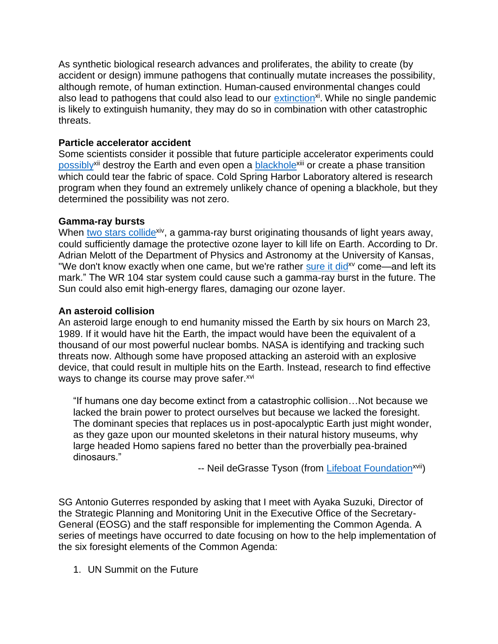As synthetic biological research advances and proliferates, the ability to create (by accident or design) immune pathogens that continually mutate increases the possibility, although remote, of human extinction. Human-caused environmental changes could also lead to pathogens that could also lead to our **extinction<sup>xi</sup>.** While no single pandemic is likely to extinguish humanity, they may do so in combination with other catastrophic threats.

#### **Particle accelerator accident**

Some scientists consider it possible that future participle accelerator experiments could [possibly](https://www.sciencealert.com/earth-could-be-crushed-to-the-size-of-a-soccer-field-by-particle-accelerator-experiments-says-astronomer)<sup>xii</sup> destroy the Earth and even open a **blackhole<sup>xiii</sup> or create a phase transition** which could tear the fabric of space. Cold Spring Harbor Laboratory altered is research program when they found an extremely unlikely chance of opening a blackhole, but they determined the possibility was not zero.

#### **Gamma-ray bursts**

When [two stars collide](https://www.space.com/13221-space-collisions-earth-extinctions-gamma-ray-bursts.html)<sup>xiv</sup>, a gamma-ray burst originating thousands of light years away, could sufficiently damage the protective ozone layer to kill life on Earth. According to Dr. Adrian Melott of the Department of Physics and Astronomy at the University of Kansas, "We don't know exactly when one came, but we're rather [sure it did](https://www.nasa.gov/vision/universe/starsgalaxies/gammaray_extinction.html)<sup>xv</sup> come—and left its mark." The WR 104 star system could cause such a gamma-ray burst in the future. The Sun could also emit high-energy flares, damaging our ozone layer.

#### **An asteroid collision**

An asteroid large enough to end humanity missed the Earth by six hours on March 23, 1989. If it would have hit the Earth, the impact would have been the equivalent of a thousand of our most powerful nuclear bombs. NASA is identifying and tracking such threats now. Although some have proposed attacking an asteroid with an explosive device, that could result in multiple hits on the Earth. Instead, research to find effective ways to change its course may prove safer.<sup>xvi</sup>

"If humans one day become extinct from a catastrophic collision…Not because we lacked the brain power to protect ourselves but because we lacked the foresight. The dominant species that replaces us in post-apocalyptic Earth just might wonder, as they gaze upon our mounted skeletons in their natural history museums, why large headed Homo sapiens fared no better than the proverbially pea-brained dinosaurs."

-- Neil deGrasse Tyson (from [Lifeboat Foundation](https://lifeboat.com/ex/asteroidshield#overview)<sup>xvii</sup>)

SG Antonio Guterres responded by asking that I meet with Ayaka Suzuki, Director of the Strategic Planning and Monitoring Unit in the Executive Office of the Secretary-General (EOSG) and the staff responsible for implementing the Common Agenda. A series of meetings have occurred to date focusing on how to the help implementation of the six foresight elements of the Common Agenda:

1. UN Summit on the Future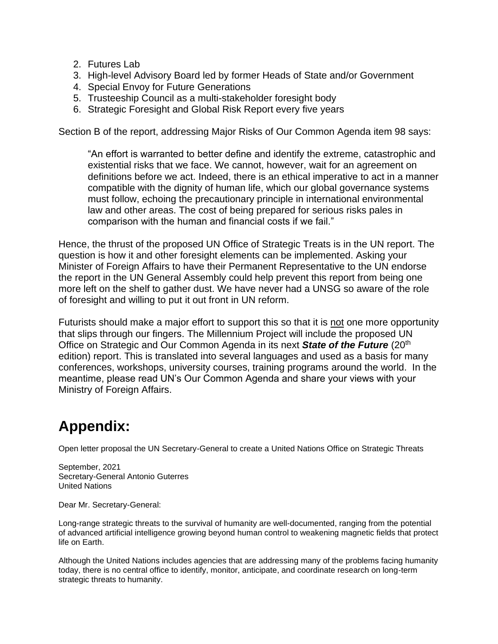- 2. Futures Lab
- 3. High-level Advisory Board led by former Heads of State and/or Government
- 4. Special Envoy for Future Generations
- 5. Trusteeship Council as a multi-stakeholder foresight body
- 6. Strategic Foresight and Global Risk Report every five years

Section B of the report, addressing Major Risks of Our Common Agenda item 98 says:

"An effort is warranted to better define and identify the extreme, catastrophic and existential risks that we face. We cannot, however, wait for an agreement on definitions before we act. Indeed, there is an ethical imperative to act in a manner compatible with the dignity of human life, which our global governance systems must follow, echoing the precautionary principle in international environmental law and other areas. The cost of being prepared for serious risks pales in comparison with the human and financial costs if we fail."

Hence, the thrust of the proposed UN Office of Strategic Treats is in the UN report. The question is how it and other foresight elements can be implemented. Asking your Minister of Foreign Affairs to have their Permanent Representative to the UN endorse the report in the UN General Assembly could help prevent this report from being one more left on the shelf to gather dust. We have never had a UNSG so aware of the role of foresight and willing to put it out front in UN reform.

Futurists should make a major effort to support this so that it is not one more opportunity that slips through our fingers. The Millennium Project will include the proposed UN Office on Strategic and Our Common Agenda in its next *State of the Future* (20th edition) report. This is translated into several languages and used as a basis for many conferences, workshops, university courses, training programs around the world. In the meantime, please read UN's Our Common Agenda and share your views with your Ministry of Foreign Affairs.

# **Appendix:**

Open letter proposal the UN Secretary-General to create a United Nations Office on Strategic Threats

September, 2021 Secretary-General Antonio Guterres United Nations

Dear Mr. Secretary-General:

Long-range strategic threats to the survival of humanity are well-documented, ranging from the potential of advanced artificial intelligence growing beyond human control to weakening magnetic fields that protect life on Earth.

Although the United Nations includes agencies that are addressing many of the problems facing humanity today, there is no central office to identify, monitor, anticipate, and coordinate research on long-term strategic threats to humanity.